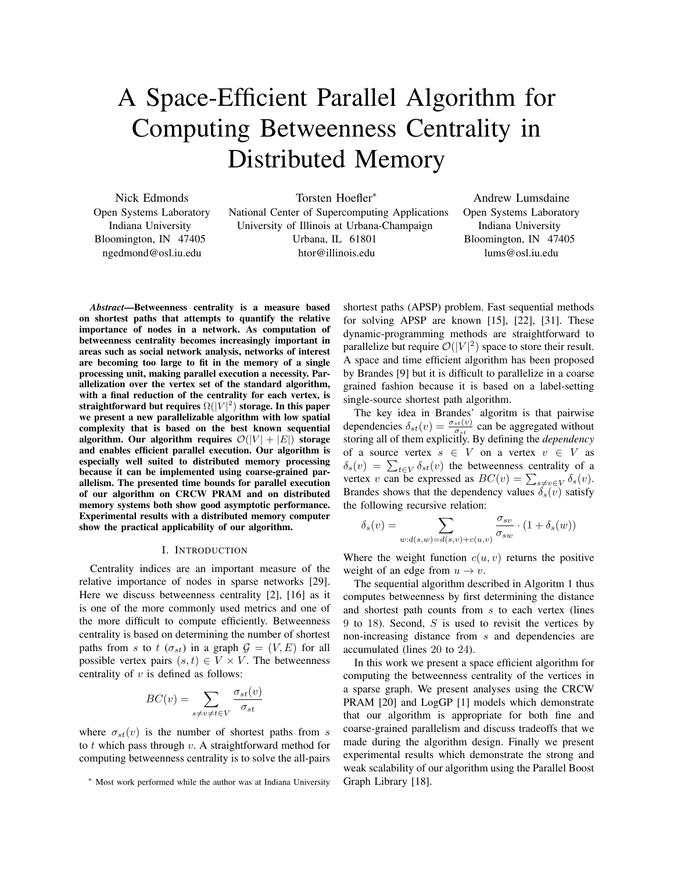# A Space-Efficient Parallel Algorithm for Computing Betweenness Centrality in Distributed Memory

Nick Edmonds Open Systems Laboratory Indiana University Bloomington, IN 47405 ngedmond@osl.iu.edu

Torsten Hoefler<sup>∗</sup> National Center of Supercomputing Applications University of Illinois at Urbana-Champaign Urbana, IL 61801 htor@illinois.edu

Andrew Lumsdaine Open Systems Laboratory Indiana University Bloomington, IN 47405 lums@osl.iu.edu

*Abstract*—Betweenness centrality is a measure based on shortest paths that attempts to quantify the relative importance of nodes in a network. As computation of betweenness centrality becomes increasingly important in areas such as social network analysis, networks of interest are becoming too large to fit in the memory of a single processing unit, making parallel execution a necessity. Parallelization over the vertex set of the standard algorithm, with a final reduction of the centrality for each vertex, is straightforward but requires  $\Omega(|V|^2)$  storage. In this paper we present a new parallelizable algorithm with low spatial complexity that is based on the best known sequential algorithm. Our algorithm requires  $\mathcal{O}(|V| + |E|)$  storage and enables efficient parallel execution. Our algorithm is especially well suited to distributed memory processing because it can be implemented using coarse-grained parallelism. The presented time bounds for parallel execution of our algorithm on CRCW PRAM and on distributed memory systems both show good asymptotic performance. Experimental results with a distributed memory computer show the practical applicability of our algorithm.

# I. INTRODUCTION

Centrality indices are an important measure of the relative importance of nodes in sparse networks [29]. Here we discuss betweenness centrality [2], [16] as it is one of the more commonly used metrics and one of the more difficult to compute efficiently. Betweenness centrality is based on determining the number of shortest paths from s to t  $(\sigma_{st})$  in a graph  $\mathcal{G} = (V, E)$  for all possible vertex pairs  $(s, t) \in V \times V$ . The betweenness centrality of  $v$  is defined as follows:

$$
BC(v) = \sum_{s \neq v \neq t \in V} \frac{\sigma_{st}(v)}{\sigma_{st}}
$$

where  $\sigma_{st}(v)$  is the number of shortest paths from s to  $t$  which pass through  $v$ . A straightforward method for computing betweenness centrality is to solve the all-pairs shortest paths (APSP) problem. Fast sequential methods for solving APSP are known [15], [22], [31]. These dynamic-programming methods are straightforward to parallelize but require  $\mathcal{O}(|V|^2)$  space to store their result. A space and time efficient algorithm has been proposed by Brandes [9] but it is difficult to parallelize in a coarse grained fashion because it is based on a label-setting single-source shortest path algorithm.

The key idea in Brandes' algoritm is that pairwise dependencies  $\delta_{st}(v) = \frac{\sigma_{st}(v)}{\sigma_{st}}$  can be aggregated without storing all of them explicitly. By defining the *dependency* of a source vertex  $s \in V$  on a vertex  $v \in V$  as  $\delta_s(v) = \sum_{t \in V} \delta_{st}(v)$  the betweenness centrality of a vertex v can be expressed as  $BC(v) = \sum_{s \neq v \in V} \delta_s(v)$ . Brandes shows that the dependency values  $\delta_s(v)$  satisfy the following recursive relation:

$$
\delta_s(v) = \sum_{w: d(s, w) = d(s, v) + c(u, v)} \frac{\sigma_{sv}}{\sigma_{sw}} \cdot (1 + \delta_s(w))
$$

Where the weight function  $c(u, v)$  returns the positive weight of an edge from  $u \rightarrow v$ .

The sequential algorithm described in Algoritm 1 thus computes betweenness by first determining the distance and shortest path counts from s to each vertex (lines 9 to 18). Second,  $S$  is used to revisit the vertices by non-increasing distance from s and dependencies are accumulated (lines 20 to 24).

In this work we present a space efficient algorithm for computing the betweenness centrality of the vertices in a sparse graph. We present analyses using the CRCW PRAM [20] and LogGP [1] models which demonstrate that our algorithm is appropriate for both fine and coarse-grained parallelism and discuss tradeoffs that we made during the algorithm design. Finally we present experimental results which demonstrate the strong and weak scalability of our algorithm using the Parallel Boost Graph Library [18].

<sup>∗</sup> Most work performed while the author was at Indiana University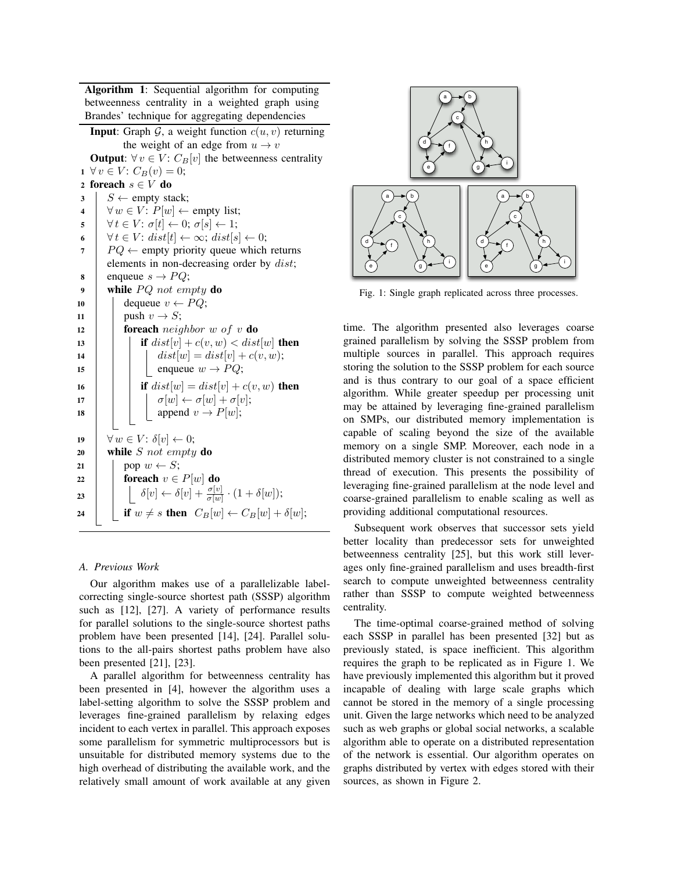Algorithm 1: Sequential algorithm for computing betweenness centrality in a weighted graph using Brandes' technique for aggregating dependencies

**Input**: Graph  $\mathcal{G}$ , a weight function  $c(u, v)$  returning the weight of an edge from  $u \rightarrow v$ 

**Output:**  $\forall v \in V$ :  $C_B[v]$  the betweenness centrality  $1 \ \forall v \in V$ :  $C_B(v) = 0$ ;

2 foreach  $s \in V$  do

 $3 \mid S \leftarrow \text{empty stack};$ 

4  $\forall w \in V : P[w] \leftarrow \text{empty list};$ 

 $\sigma[t] \leftarrow 0; \sigma[s] \leftarrow 1;$ 

6  $\forall t \in V : dist[t] \leftarrow \infty; dist[s] \leftarrow 0;$ 

 $7 \mid PQ \leftarrow \text{empty priority queue which returns}$ elements in non-decreasing order by *dist*; 8 enqueue  $s \to PQ$ ; 9 while  $PQ$  not empty do 10 dequeue  $v \leftarrow PQ$ ; 11 | push  $v \to S$ ; 12 **foreach** neighbor w of v **do** 13 if  $dist[v] + c(v, w) < dist[w]$  then 14 dist[w] = dist[v] + c(v, w); 15 | | | enqueue  $w \rightarrow PQ$ ; 16 **if** dist[w] = dist[v] +  $c(v, w)$  then 17  $|\qquad| \qquad \sigma[w] \leftarrow \sigma[w] + \sigma[v];$ 18 | | | | append  $v \to P[w]$ ; 19  $\forall w \in V: \delta[v] \leftarrow 0;$  $20$  while S not empty do 21 | pop  $w \leftarrow S$ ; 22 | foreach  $v \in P[w]$  do 23  $\begin{vmatrix} \ \end{vmatrix} \ \end{vmatrix} \ \ \delta[v] \leftarrow \delta[v] + \frac{\sigma[v]}{\sigma[w]} \cdot (1 + \delta[w]);$ 

24 **if**  $w \neq s$  then  $C_B[w] \leftarrow C_B[w] + \delta[w];$ 

# *A. Previous Work*

Our algorithm makes use of a parallelizable labelcorrecting single-source shortest path (SSSP) algorithm such as [12], [27]. A variety of performance results for parallel solutions to the single-source shortest paths problem have been presented [14], [24]. Parallel solutions to the all-pairs shortest paths problem have also been presented [21], [23].

A parallel algorithm for betweenness centrality has been presented in [4], however the algorithm uses a label-setting algorithm to solve the SSSP problem and leverages fine-grained parallelism by relaxing edges incident to each vertex in parallel. This approach exposes some parallelism for symmetric multiprocessors but is unsuitable for distributed memory systems due to the high overhead of distributing the available work, and the relatively small amount of work available at any given



Fig. 1: Single graph replicated across three processes.

time. The algorithm presented also leverages coarse grained parallelism by solving the SSSP problem from multiple sources in parallel. This approach requires storing the solution to the SSSP problem for each source and is thus contrary to our goal of a space efficient algorithm. While greater speedup per processing unit may be attained by leveraging fine-grained parallelism on SMPs, our distributed memory implementation is capable of scaling beyond the size of the available memory on a single SMP. Moreover, each node in a distributed memory cluster is not constrained to a single thread of execution. This presents the possibility of leveraging fine-grained parallelism at the node level and coarse-grained parallelism to enable scaling as well as providing additional computational resources.

Subsequent work observes that successor sets yield better locality than predecessor sets for unweighted betweenness centrality [25], but this work still leverages only fine-grained parallelism and uses breadth-first search to compute unweighted betweenness centrality rather than SSSP to compute weighted betweenness centrality.

The time-optimal coarse-grained method of solving each SSSP in parallel has been presented [32] but as previously stated, is space inefficient. This algorithm requires the graph to be replicated as in Figure 1. We have previously implemented this algorithm but it proved incapable of dealing with large scale graphs which cannot be stored in the memory of a single processing unit. Given the large networks which need to be analyzed such as web graphs or global social networks, a scalable algorithm able to operate on a distributed representation of the network is essential. Our algorithm operates on graphs distributed by vertex with edges stored with their sources, as shown in Figure 2.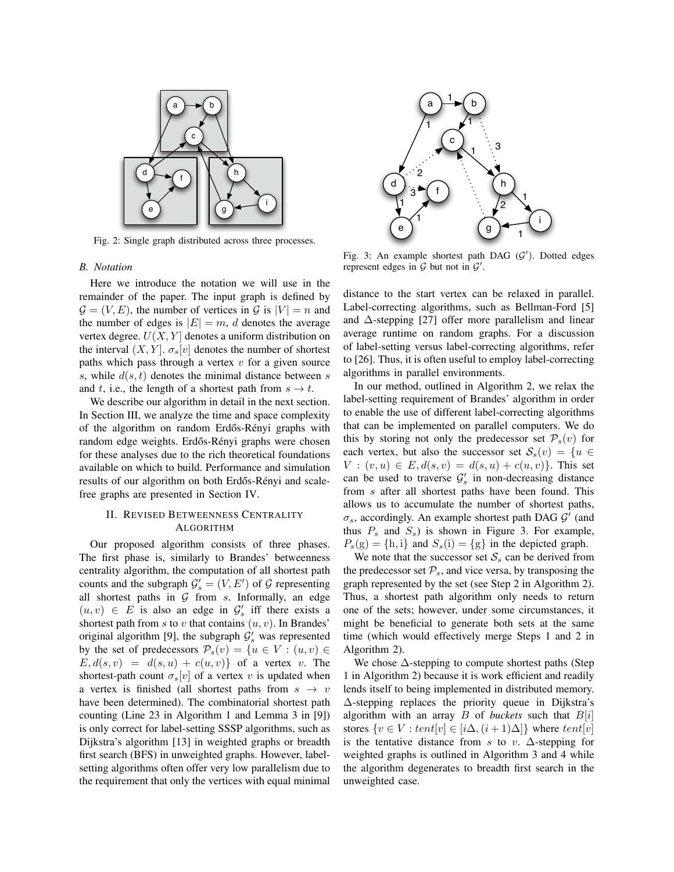

Fig. 2: Single graph distributed across three processes.

# *B. Notation*

Here we introduce the notation we will use in the remainder of the paper. The input graph is defined by  $\mathcal{G} = (V, E)$ , the number of vertices in  $\mathcal{G}$  is  $|V| = n$  and the number of edges is  $|E| = m$ , d denotes the average vertex degree.  $U(X, Y)$  denotes a uniform distribution on the interval  $(X, Y]$ .  $\sigma_s[v]$  denotes the number of shortest paths which pass through a vertex  $v$  for a given source s, while  $d(s, t)$  denotes the minimal distance between s and t, i.e., the length of a shortest path from  $s \to t$ .

We describe our algorithm in detail in the next section. In Section III, we analyze the time and space complexity of the algorithm on random Erdős-Rényi graphs with random edge weights. Erdős-Rényi graphs were chosen for these analyses due to the rich theoretical foundations available on which to build. Performance and simulation results of our algorithm on both Erdős-Rényi and scalefree graphs are presented in Section IV.

# II. REVISED BETWEENNESS CENTRALITY ALGORITHM

Our proposed algorithm consists of three phases. The first phase is, similarly to Brandes' betweenness centrality algorithm, the computation of all shortest path counts and the subgraph  $\mathcal{G}'_s = (V, E')$  of  $\mathcal G$  representing all shortest paths in  $G$  from  $s$ . Informally, an edge  $(u, v) \in E$  is also an edge in  $\mathcal{G}'_s$  iff there exists a shortest path from  $s$  to  $v$  that contains  $(u, v)$ . In Brandes' original algorithm [9], the subgraph  $\mathcal{G}'_s$  was represented by the set of predecessors  $\mathcal{P}_s(v) = \{u \in V : (u, v) \in$  $E, d(s, v) = d(s, u) + c(u, v)$  of a vertex v. The shortest-path count  $\sigma_s[v]$  of a vertex v is updated when a vertex is finished (all shortest paths from  $s \rightarrow v$ have been determined). The combinatorial shortest path counting (Line 23 in Algorithm 1 and Lemma 3 in [9]) is only correct for label-setting SSSP algorithms, such as Dijkstra's algorithm [13] in weighted graphs or breadth first search (BFS) in unweighted graphs. However, labelsetting algorithms often offer very low parallelism due to the requirement that only the vertices with equal minimal



Fig. 3: An example shortest path DAG  $(G')$ . Dotted edges represent edges in  $G$  but not in  $G'$ .

distance to the start vertex can be relaxed in parallel. Label-correcting algorithms, such as Bellman-Ford [5] and ∆-stepping [27] offer more parallelism and linear average runtime on random graphs. For a discussion of label-setting versus label-correcting algorithms, refer to [26]. Thus, it is often useful to employ label-correcting algorithms in parallel environments.

In our method, outlined in Algorithm 2, we relax the label-setting requirement of Brandes' algorithm in order to enable the use of different label-correcting algorithms that can be implemented on parallel computers. We do this by storing not only the predecessor set  $P_s(v)$  for each vertex, but also the successor set  $S_s(v) = \{u \in$  $V: (v, u) \in E, d(s, v) = d(s, u) + c(u, v)$ . This set can be used to traverse  $G'_{s}$  in non-decreasing distance from s after all shortest paths have been found. This allows us to accumulate the number of shortest paths,  $\sigma_s$ , accordingly. An example shortest path DAG  $\mathcal{G}'$  (and thus  $P_s$  and  $S_s$ ) is shown in Figure 3. For example,  $P_s(g) = \{h, i\}$  and  $S_s(i) = \{g\}$  in the depicted graph.

We note that the successor set  $S<sub>s</sub>$  can be derived from the predecessor set  $P_s$ , and vice versa, by transposing the graph represented by the set (see Step 2 in Algorithm 2). Thus, a shortest path algorithm only needs to return one of the sets; however, under some circumstances, it might be beneficial to generate both sets at the same time (which would effectively merge Steps 1 and 2 in Algorithm 2).

We chose  $\Delta$ -stepping to compute shortest paths (Step 1 in Algorithm 2) because it is work efficient and readily lends itself to being implemented in distributed memory. ∆-stepping replaces the priority queue in Dijkstra's algorithm with an array  $B$  of *buckets* such that  $B[i]$ stores  $\{v \in V : tent[v] \in [i\Delta, (i+1)\Delta]\}$  where  $tent[v]$ is the tentative distance from s to v.  $\Delta$ -stepping for weighted graphs is outlined in Algorithm 3 and 4 while the algorithm degenerates to breadth first search in the unweighted case.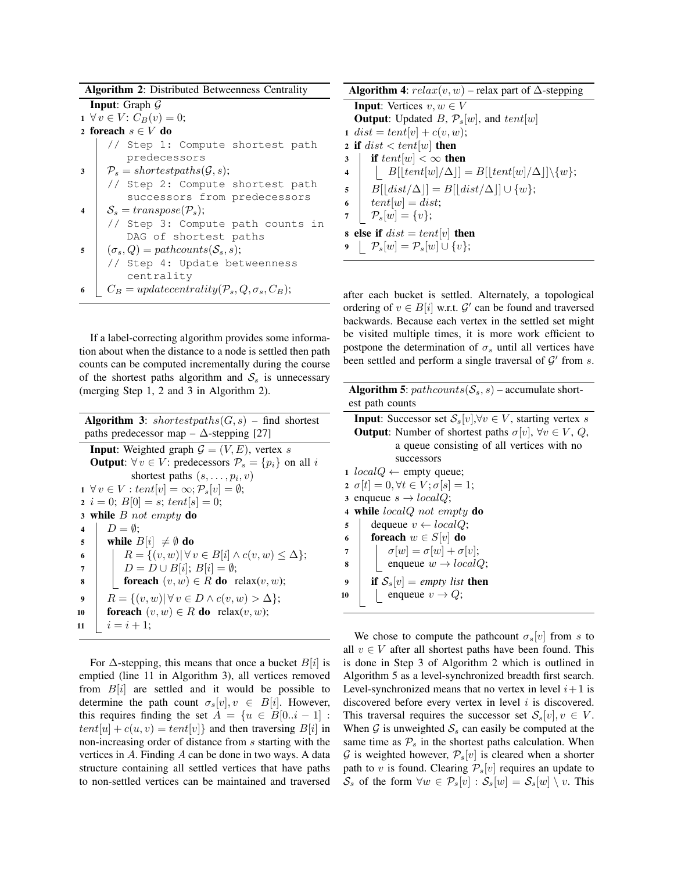| <b>Algorithm 2:</b> Distributed Betweenness Centrality |                                                            |  |  |  |  |
|--------------------------------------------------------|------------------------------------------------------------|--|--|--|--|
|                                                        | <b>Input:</b> Graph $\mathcal G$                           |  |  |  |  |
|                                                        | $1 \ \forall v \in V: C_B(v) = 0;$                         |  |  |  |  |
|                                                        | 2 foreach $s \in V$ do                                     |  |  |  |  |
|                                                        | // Step 1: Compute shortest path                           |  |  |  |  |
|                                                        | predecessors                                               |  |  |  |  |
| 3                                                      | $\mathcal{P}_s = shortestpaths(\mathcal{G}, s);$           |  |  |  |  |
|                                                        | // Step 2: Compute shortest path                           |  |  |  |  |
|                                                        | successors from predecessors                               |  |  |  |  |
| $\overline{\mathbf{4}}$                                | $S_s = transpose(\mathcal{P}_s);$                          |  |  |  |  |
|                                                        | // Step 3: Compute path counts in                          |  |  |  |  |
|                                                        | DAG of shortest paths                                      |  |  |  |  |
| 5                                                      | $(\sigma_s, Q) = pathcounts(S_s, s);$                      |  |  |  |  |
|                                                        | // Step 4: Update betweenness                              |  |  |  |  |
|                                                        | centrality                                                 |  |  |  |  |
| 6                                                      | $C_B = updatecentrality(\mathcal{P}_s, Q, \sigma_s, C_B);$ |  |  |  |  |

If a label-correcting algorithm provides some information about when the distance to a node is settled then path counts can be computed incrementally during the course of the shortest paths algorithm and  $S<sub>s</sub>$  is unnecessary (merging Step 1, 2 and 3 in Algorithm 2).

|                                                |  | <b>Algorithm 3:</b> shortestpaths( $G, s$ ) – find shortest |  |  |
|------------------------------------------------|--|-------------------------------------------------------------|--|--|
| paths predecessor map $-\Delta$ -stepping [27] |  |                                                             |  |  |

**Input:** Weighted graph  $\mathcal{G} = (V, E)$ , vertex s **Output:**  $\forall v \in V$ : predecessors  $\mathcal{P}_s = \{p_i\}$  on all i shortest paths  $(s, \ldots, p_i, v)$  $1 \ \forall v \in V : tent[v] = \infty; \mathcal{P}_s[v] = \emptyset;$ 2  $i = 0$ ;  $B[0] = s$ ;  $tent[s] = 0$ ; <sup>3</sup> while B not empty do 4  $D = \emptyset$ ; 5 while  $B[i] \neq \emptyset$  do 6 | |  $R = \{(v, w) | \forall v \in B[i] \land c(v, w) \leq \Delta\};$ 7  $\mid D = D \cup B[i]; B[i] = \emptyset;$ 8 **foreach**  $(v, w) \in R$  **do** relax $(v, w)$ ; 9  $\mid R = \{(v, w) | \forall v \in D \land c(v, w) > \Delta\};$ 10 **foreach**  $(v, w) \in R$  **do** relax $(v, w)$ ; 11  $i = i + 1;$ 

For  $\Delta$ -stepping, this means that once a bucket  $B[i]$  is emptied (line 11 in Algorithm 3), all vertices removed from  $B[i]$  are settled and it would be possible to determine the path count  $\sigma_s[v], v \in B[i]$ . However, this requires finding the set  $A = \{u \in B[0..i-1]:$  $tent[u] + c(u, v) = tent[v]$  and then traversing  $B[i]$  in non-increasing order of distance from s starting with the vertices in A. Finding A can be done in two ways. A data structure containing all settled vertices that have paths to non-settled vertices can be maintained and traversed

Algorithm 4:  $relax(v, w)$  – relax part of  $\Delta$ -stepping **Input:** Vertices  $v, w \in V$ **Output:** Updated B,  $P_s[w]$ , and tent[w] 1  $dist = tent[v] + c(v, w);$ 2 if  $dist < tent[w]$  then 3 if  $tent[w] < \infty$  then 4  $\left| \begin{array}{c} \end{array} \right|$   $B[$   $\left[ tent[w]/\Delta \right]$   $] = B[$   $\left[ tent[w]/\Delta \right]$   $\setminus \{w\};$  $\mathfrak{s} \quad | \quad B[\lfloor dist/\Delta \rfloor] = B[\lfloor dist/\Delta \rfloor] \cup \{w\};$ 6  $tent[w] = dist;$  $\mathcal{P}_s[w] = \{v\};$ 8 else if  $dist = tent[v]$  then  $\mathcal{P}_s[w] = \mathcal{P}_s[w] \cup \{v\};$ 

after each bucket is settled. Alternately, a topological ordering of  $v \in B[i]$  w.r.t.  $\mathcal{G}'$  can be found and traversed backwards. Because each vertex in the settled set might be visited multiple times, it is more work efficient to postpone the determination of  $\sigma_s$  until all vertices have been settled and perform a single traversal of  $\mathcal{G}'$  from s.

|    | <b>Algorithm 5</b> : $pathcounts(Ss, s)$ – accumulate short-                 |  |  |  |  |  |
|----|------------------------------------------------------------------------------|--|--|--|--|--|
|    | est path counts                                                              |  |  |  |  |  |
|    | <b>Input:</b> Successor set $S_s[v], \forall v \in V$ , starting vertex s    |  |  |  |  |  |
|    | <b>Output:</b> Number of shortest paths $\sigma[v]$ , $\forall v \in V$ , Q, |  |  |  |  |  |
|    | a queue consisting of all vertices with no                                   |  |  |  |  |  |
|    | successors                                                                   |  |  |  |  |  |
|    | 1 $localQ \leftarrow \text{empty queue};$                                    |  |  |  |  |  |
|    | $\sigma[t] = 0, \forall t \in V; \sigma[s] = 1;$                             |  |  |  |  |  |
|    | 3 enqueue $s \rightarrow localQ$ ;                                           |  |  |  |  |  |
| 4  | while $localQ$ not empty do                                                  |  |  |  |  |  |
| 5  | dequeue $v \leftarrow localQ$ ;                                              |  |  |  |  |  |
| 6  | foreach $w \in S[v]$ do                                                      |  |  |  |  |  |
| 7  | $\sigma[w] = \sigma[w] + \sigma[v];$                                         |  |  |  |  |  |
| 8  | enqueue $w \rightarrow localQ$ ;                                             |  |  |  |  |  |
| 9  | <b>if</b> $S_s v $ = empty list <b>then</b>                                  |  |  |  |  |  |
| 10 | enqueue $v \rightarrow Q$ ;                                                  |  |  |  |  |  |
|    |                                                                              |  |  |  |  |  |

We chose to compute the pathcount  $\sigma_s[v]$  from s to all  $v \in V$  after all shortest paths have been found. This is done in Step 3 of Algorithm 2 which is outlined in Algorithm 5 as a level-synchronized breadth first search. Level-synchronized means that no vertex in level  $i+1$  is discovered before every vertex in level  $i$  is discovered. This traversal requires the successor set  $S_s[v], v \in V$ . When G is unweighted  $S<sub>s</sub>$  can easily be computed at the same time as  $P_s$  in the shortest paths calculation. When G is weighted however,  $P_s[v]$  is cleared when a shorter path to v is found. Clearing  $P_s[v]$  requires an update to  $S_s$  of the form  $\forall w \in \mathcal{P}_s[v] : S_s[w] = S_s[w] \setminus v$ . This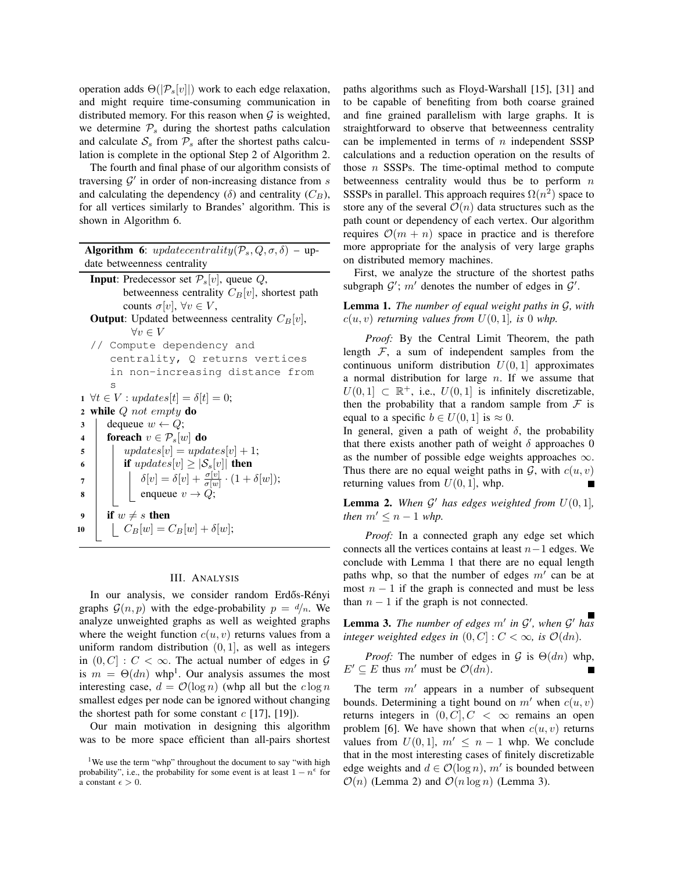operation adds  $\Theta(|P_s[v]|)$  work to each edge relaxation, and might require time-consuming communication in distributed memory. For this reason when  $G$  is weighted, we determine  $P_s$  during the shortest paths calculation and calculate  $S<sub>s</sub>$  from  $P<sub>s</sub>$  after the shortest paths calculation is complete in the optional Step 2 of Algorithm 2.

The fourth and final phase of our algorithm consists of traversing  $\mathcal{G}'$  in order of non-increasing distance from  $s$ and calculating the dependency ( $\delta$ ) and centrality ( $C_B$ ), for all vertices similarly to Brandes' algorithm. This is shown in Algorithm 6.

Algorithm 6: updatecentrality $(\mathcal{P}_s, Q, \sigma, \delta)$  – update betweenness centrality

```
Input: Predecessor set P_s[v], queue Q,
           betweenness centrality C_B[v], shortest path
           counts \sigma[v], \forall v \in V,
   Output: Updated betweenness centrality C_B[v],
             \forall v \in V// Compute dependency and
        centrality, Q returns vertices
        in non-increasing distance from
        s
1 \forall t \in V : updates[t] = \delta[t] = 0;2 while Q not empty do
3 dequeue w \leftarrow Q;
4 foreach v \in \mathcal{P}_s[w] do
\mathfrak{s} | updates[v] = updates[v] + 1;
6 i if \{v| \geq |\mathcal{S}_s[v]| \text{ then}\sigma \left| \quad \right| \quad \left| \quad \delta[v]=\delta[v]+\frac{\sigma[v]}{\sigma[w]}\cdot (1+\delta[w]) ; \right.8 | enqueue v \to Q;
9 if w \neq s then
10 \Big| C_B[w] = C_B[w] + \delta[w];
```
#### III. ANALYSIS

In our analysis, we consider random Erdős-Rényi graphs  $\mathcal{G}(n, p)$  with the edge-probability  $p = d/n$ . We analyze unweighted graphs as well as weighted graphs where the weight function  $c(u, v)$  returns values from a uniform random distribution  $(0, 1]$ , as well as integers in  $(0, C]$ :  $C < \infty$ . The actual number of edges in G is  $m = \Theta(dn)$  whp<sup>1</sup>. Our analysis assumes the most interesting case,  $d = \mathcal{O}(\log n)$  (whp all but the  $c \log n$ smallest edges per node can be ignored without changing the shortest path for some constant  $c$  [17], [19]).

Our main motivation in designing this algorithm was to be more space efficient than all-pairs shortest paths algorithms such as Floyd-Warshall [15], [31] and to be capable of benefiting from both coarse grained and fine grained parallelism with large graphs. It is straightforward to observe that betweenness centrality can be implemented in terms of  $n$  independent SSSP calculations and a reduction operation on the results of those  $n$  SSSPs. The time-optimal method to compute betweenness centrality would thus be to perform  $n$ SSSPs in parallel. This approach requires  $\Omega(n^2)$  space to store any of the several  $\mathcal{O}(n)$  data structures such as the path count or dependency of each vertex. Our algorithm requires  $\mathcal{O}(m + n)$  space in practice and is therefore more appropriate for the analysis of very large graphs on distributed memory machines.

First, we analyze the structure of the shortest paths subgraph  $\mathcal{G}'$ ;  $m'$  denotes the number of edges in  $\mathcal{G}'$ .

# Lemma 1. *The number of equal weight paths in* G*, with*  $c(u, v)$  *returning values from*  $U(0, 1)$ *, is* 0 *whp.*

*Proof:* By the Central Limit Theorem, the path length  $\mathcal{F}$ , a sum of independent samples from the continuous uniform distribution  $U(0, 1)$  approximates a normal distribution for large  $n$ . If we assume that  $U(0, 1] \subset \mathbb{R}^+$ , i.e.,  $U(0, 1]$  is infinitely discretizable, then the probability that a random sample from  $\mathcal F$  is equal to a specific  $b \in U(0, 1]$  is  $\approx 0$ .

In general, given a path of weight  $\delta$ , the probability that there exists another path of weight  $\delta$  approaches 0 as the number of possible edge weights approaches  $\infty$ . Thus there are no equal weight paths in  $G$ , with  $c(u, v)$ returning values from  $U(0, 1]$ , whp.

**Lemma 2.** When  $\mathcal{G}'$  has edges weighted from  $U(0, 1]$ , *then*  $m' \leq n-1$  *whp.* 

*Proof:* In a connected graph any edge set which connects all the vertices contains at least  $n-1$  edges. We conclude with Lemma 1 that there are no equal length paths whp, so that the number of edges  $m'$  can be at most  $n - 1$  if the graph is connected and must be less than  $n - 1$  if the graph is not connected.

**Lemma 3.** The number of edges  $m'$  in  $\mathcal{G}'$ , when  $\mathcal{G}'$  has *integer weighted edges in*  $(0, C]$  :  $C < \infty$ *, is*  $\mathcal{O}(dn)$ *.* 

*Proof:* The number of edges in  $G$  is  $\Theta(dn)$  whp,  $E' \subseteq E$  thus m' must be  $\mathcal{O}(dn)$ .

The term  $m'$  appears in a number of subsequent bounds. Determining a tight bound on  $m'$  when  $c(u, v)$ returns integers in  $(0, C], C < \infty$  remains an open problem [6]. We have shown that when  $c(u, v)$  returns values from  $U(0, 1]$ ,  $m' \leq n - 1$  whp. We conclude that in the most interesting cases of finitely discretizable edge weights and  $d \in \mathcal{O}(\log n)$ , m' is bounded between  $\mathcal{O}(n)$  (Lemma 2) and  $\mathcal{O}(n \log n)$  (Lemma 3).

<sup>&</sup>lt;sup>1</sup>We use the term "whp" throughout the document to say "with high probability", i.e., the probability for some event is at least  $1 - n^{\epsilon}$  for a constant  $\epsilon > 0$ .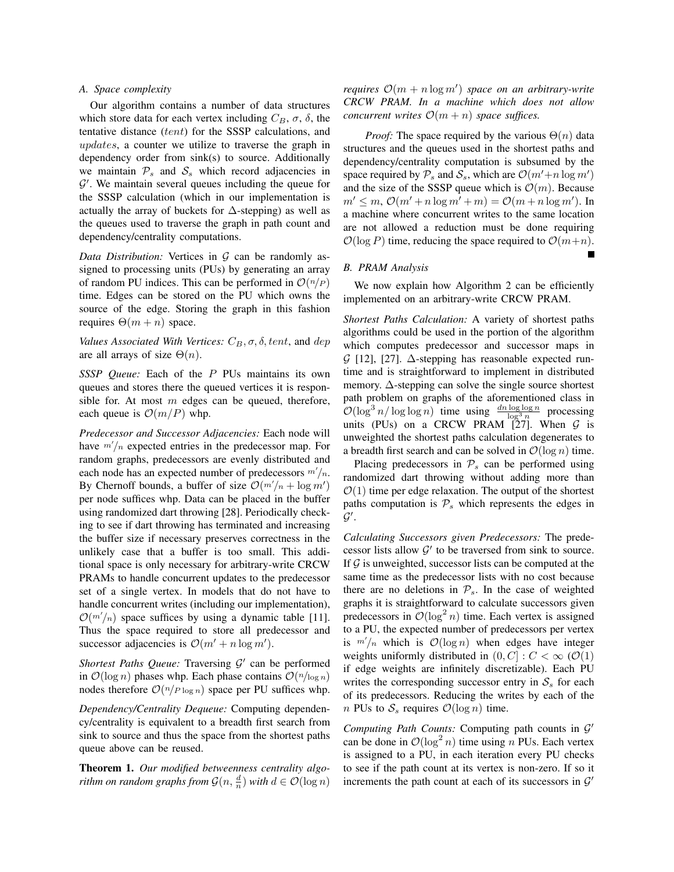# *A. Space complexity*

Our algorithm contains a number of data structures which store data for each vertex including  $C_B$ ,  $\sigma$ ,  $\delta$ , the tentative distance (tent) for the SSSP calculations, and updates, a counter we utilize to traverse the graph in dependency order from sink(s) to source. Additionally we maintain  $P_s$  and  $S_s$  which record adjacencies in  $G'$ . We maintain several queues including the queue for the SSSP calculation (which in our implementation is actually the array of buckets for  $\Delta$ -stepping) as well as the queues used to traverse the graph in path count and dependency/centrality computations.

*Data Distribution:* Vertices in  $G$  can be randomly assigned to processing units (PUs) by generating an array of random PU indices. This can be performed in  $\mathcal{O}(n/p)$ time. Edges can be stored on the PU which owns the source of the edge. Storing the graph in this fashion requires  $\Theta(m+n)$  space.

*Values Associated With Vertices:*  $C_B$ ,  $\sigma$ ,  $\delta$ , tent, and dep are all arrays of size  $\Theta(n)$ .

*SSSP Queue:* Each of the P PUs maintains its own queues and stores there the queued vertices it is responsible for. At most  $m$  edges can be queued, therefore, each queue is  $\mathcal{O}(m/P)$  whp.

*Predecessor and Successor Adjacencies:* Each node will have  $m'/n$  expected entries in the predecessor map. For random graphs, predecessors are evenly distributed and each node has an expected number of predecessors  $m'/n$ . By Chernoff bounds, a buffer of size  $\mathcal{O}(m/n + \log m')$ per node suffices whp. Data can be placed in the buffer using randomized dart throwing [28]. Periodically checking to see if dart throwing has terminated and increasing the buffer size if necessary preserves correctness in the unlikely case that a buffer is too small. This additional space is only necessary for arbitrary-write CRCW PRAMs to handle concurrent updates to the predecessor set of a single vertex. In models that do not have to handle concurrent writes (including our implementation),  $\mathcal{O}(m'/n)$  space suffices by using a dynamic table [11]. Thus the space required to store all predecessor and successor adjacencies is  $\mathcal{O}(m' + n \log m')$ .

Shortest Paths Queue: Traversing G' can be performed in  $\mathcal{O}(\log n)$  phases whp. Each phase contains  $\mathcal{O}(n/\log n)$ nodes therefore  $\mathcal{O}(n/p \log n)$  space per PU suffices whp.

*Dependency/Centrality Dequeue:* Computing dependency/centrality is equivalent to a breadth first search from sink to source and thus the space from the shortest paths queue above can be reused.

Theorem 1. *Our modified betweenness centrality algorithm on random graphs from*  $\mathcal{G}(n, \frac{d}{n})$  *with*  $d \in \mathcal{O}(\log n)$  *requires*  $\mathcal{O}(m + n \log m')$  *space on an arbitrary-write CRCW PRAM. In a machine which does not allow concurrent writes*  $\mathcal{O}(m+n)$  *space suffices.* 

*Proof:* The space required by the various  $\Theta(n)$  data structures and the queues used in the shortest paths and dependency/centrality computation is subsumed by the space required by  $P_s$  and  $S_s$ , which are  $\mathcal{O}(m'+n\log m')$ and the size of the SSSP queue which is  $\mathcal{O}(m)$ . Because  $m' \leq m$ ,  $\mathcal{O}(m' + n \log m' + m) = \mathcal{O}(m + n \log m')$ . In a machine where concurrent writes to the same location are not allowed a reduction must be done requiring  $\mathcal{O}(\log P)$  time, reducing the space required to  $\mathcal{O}(m+n)$ .

# *B. PRAM Analysis*

We now explain how Algorithm 2 can be efficiently implemented on an arbitrary-write CRCW PRAM.

*Shortest Paths Calculation:* A variety of shortest paths algorithms could be used in the portion of the algorithm which computes predecessor and successor maps in  $G$  [12], [27].  $\Delta$ -stepping has reasonable expected runtime and is straightforward to implement in distributed memory. ∆-stepping can solve the single source shortest path problem on graphs of the aforementioned class in  $\mathcal{O}(\log^3 n / \log \log n)$  time using  $\frac{dn \log \log n}{\log^3 n}$  processing units (PUs) on a CRCW PRAM  $\tilde{[}27\tilde{]}$ . When  $G$  is unweighted the shortest paths calculation degenerates to a breadth first search and can be solved in  $\mathcal{O}(\log n)$  time.

Placing predecessors in  $P_s$  can be performed using randomized dart throwing without adding more than  $\mathcal{O}(1)$  time per edge relaxation. The output of the shortest paths computation is  $P_s$  which represents the edges in  $\mathcal{G}'$  .

*Calculating Successors given Predecessors:* The predecessor lists allow  $\mathcal{G}'$  to be traversed from sink to source. If  $\mathcal G$  is unweighted, successor lists can be computed at the same time as the predecessor lists with no cost because there are no deletions in  $P_s$ . In the case of weighted graphs it is straightforward to calculate successors given predecessors in  $\mathcal{O}(\log^2 n)$  time. Each vertex is assigned to a PU, the expected number of predecessors per vertex is  $m'/n$  which is  $\mathcal{O}(\log n)$  when edges have integer weights uniformly distributed in  $(0, C]$ :  $C < \infty$  ( $\mathcal{O}(1)$ ) if edge weights are infinitely discretizable). Each PU writes the corresponding successor entry in  $S<sub>s</sub>$  for each of its predecessors. Reducing the writes by each of the *n* PUs to  $S<sub>s</sub>$  requires  $\mathcal{O}(\log n)$  time.

Computing Path Counts: Computing path counts in  $G'$ can be done in  $\mathcal{O}(\log^2 n)$  time using n PUs. Each vertex is assigned to a PU, in each iteration every PU checks to see if the path count at its vertex is non-zero. If so it increments the path count at each of its successors in  $\mathcal{G}'$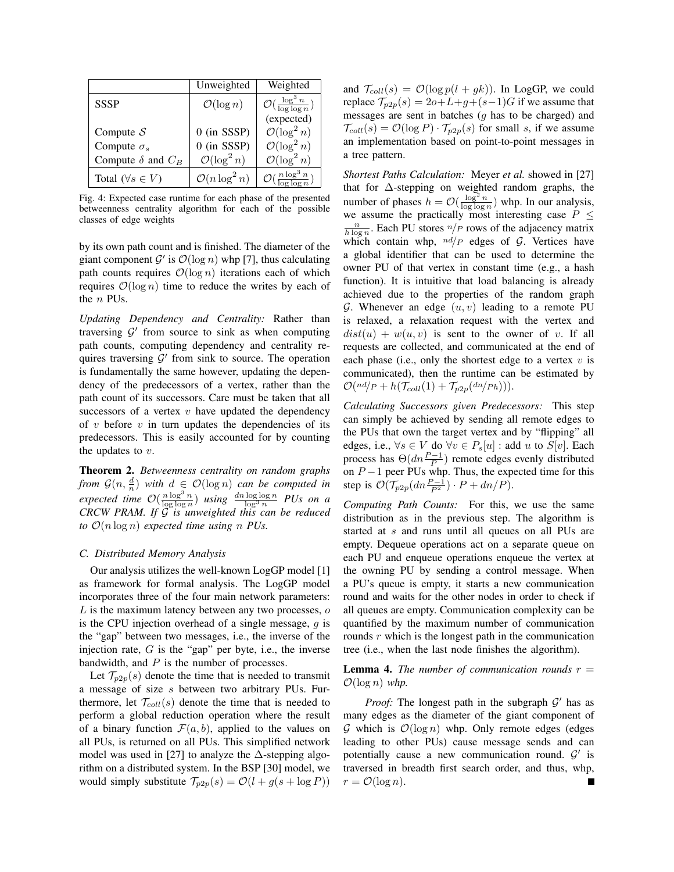|                            | Unweighted                | Weighted                                      |
|----------------------------|---------------------------|-----------------------------------------------|
| <b>SSSP</b>                | $\mathcal{O}(\log n)$     | $\mathcal{O}(\frac{\log^3 n}{\log \log n})$   |
|                            |                           | (expected)                                    |
| Compute $S$                | 0 (in SSSP)               | $\mathcal{O}(\log^2 n)$                       |
| Compute $\sigma_s$         | $0$ (in SSSP)             | $\mathcal{O}(\log^2 n)$                       |
| Compute $\delta$ and $C_B$ | $\mathcal{O}(\log^2 n)$   | $\mathcal{O}(\log^2 n)$                       |
| Total $(\forall s \in V)$  | $\mathcal{O}(n \log^2 n)$ | $\mathcal{O}(\frac{n \log^3 n}{\log \log n})$ |

Fig. 4: Expected case runtime for each phase of the presented betweenness centrality algorithm for each of the possible classes of edge weights

by its own path count and is finished. The diameter of the giant component  $\mathcal{G}'$  is  $\mathcal{O}(\log n)$  whp [7], thus calculating path counts requires  $\mathcal{O}(\log n)$  iterations each of which requires  $\mathcal{O}(\log n)$  time to reduce the writes by each of the n PUs.

*Updating Dependency and Centrality:* Rather than traversing  $G'$  from source to sink as when computing path counts, computing dependency and centrality requires traversing  $G'$  from sink to source. The operation is fundamentally the same however, updating the dependency of the predecessors of a vertex, rather than the path count of its successors. Care must be taken that all successors of a vertex  $v$  have updated the dependency of v before v in turn updates the dependencies of its predecessors. This is easily accounted for by counting the updates to  $v$ .

Theorem 2. *Betweenness centrality on random graphs from*  $\mathcal{G}(n, \frac{d}{n})$  *with*  $d \in \mathcal{O}(\log n)$  *can be computed in*  $e$ *xpected time*  $\mathcal{O}(\frac{n \log^3 n}{\log \log n})$  *using*  $\frac{dn \log \log n}{\log^3 n}$  *PUs on a CRCW PRAM. If* G *is unweighted this can be reduced to*  $\mathcal{O}(n \log n)$  *expected time using n PUs.* 

#### *C. Distributed Memory Analysis*

Our analysis utilizes the well-known LogGP model [1] as framework for formal analysis. The LogGP model incorporates three of the four main network parameters:  $L$  is the maximum latency between any two processes,  $o$ is the CPU injection overhead of a single message,  $q$  is the "gap" between two messages, i.e., the inverse of the injection rate,  $G$  is the "gap" per byte, i.e., the inverse bandwidth, and  $P$  is the number of processes.

Let  $\mathcal{T}_{p2p}(s)$  denote the time that is needed to transmit a message of size s between two arbitrary PUs. Furthermore, let  $\mathcal{T}_{coll}(s)$  denote the time that is needed to perform a global reduction operation where the result of a binary function  $\mathcal{F}(a, b)$ , applied to the values on all PUs, is returned on all PUs. This simplified network model was used in [27] to analyze the  $\Delta$ -stepping algorithm on a distributed system. In the BSP [30] model, we would simply substitute  $\mathcal{T}_{p2p}(s) = \mathcal{O}(l + g(s + \log P))$  and  $\mathcal{T}_{coll}(s) = \mathcal{O}(\log p(l + gk))$ . In LogGP, we could replace  $\mathcal{T}_{p2p}(s) = 2o+L+g+(s-1)G$  if we assume that messages are sent in batches  $(g$  has to be charged) and  $\mathcal{T}_{\text{coll}}(s) = \mathcal{O}(\log P) \cdot \mathcal{T}_{p2p}(s)$  for small s, if we assume an implementation based on point-to-point messages in a tree pattern.

*Shortest Paths Calculation:* Meyer *et al.* showed in [27] that for ∆-stepping on weighted random graphs, the number of phases  $h = \mathcal{O}(\frac{\log^2 n}{\log \log n})$  whp. In our analysis, we assume the practically most interesting case  $P \leq$  $\frac{n}{h \log n}$ . Each PU stores  $n/p$  rows of the adjacency matrix which contain whp,  $nd/p$  edges of  $G$ . Vertices have a global identifier that can be used to determine the owner PU of that vertex in constant time (e.g., a hash function). It is intuitive that load balancing is already achieved due to the properties of the random graph G. Whenever an edge  $(u, v)$  leading to a remote PU is relaxed, a relaxation request with the vertex and  $dist(u) + w(u, v)$  is sent to the owner of v. If all requests are collected, and communicated at the end of each phase (i.e., only the shortest edge to a vertex  $v$  is communicated), then the runtime can be estimated by  $\mathcal{O}(nd/P + h(\mathcal{T}_{coll}(1) + \mathcal{T}_{p2p}(dn/Ph))).$ 

*Calculating Successors given Predecessors:* This step can simply be achieved by sending all remote edges to the PUs that own the target vertex and by "flipping" all edges, i.e.,  $\forall s \in V$  do  $\forall v \in P_s[u]$ : add u to  $S[v]$ . Each process has  $\Theta(dn\frac{P-1}{P})$  remote edges evenly distributed on  $P-1$  peer PUs whp. Thus, the expected time for this step is  $\mathcal{O}(\mathcal{T}_{p2p}(dn\frac{P-1}{P^2})\cdot P + dn/P)$ .

*Computing Path Counts:* For this, we use the same distribution as in the previous step. The algorithm is started at s and runs until all queues on all PUs are empty. Dequeue operations act on a separate queue on each PU and enqueue operations enqueue the vertex at the owning PU by sending a control message. When a PU's queue is empty, it starts a new communication round and waits for the other nodes in order to check if all queues are empty. Communication complexity can be quantified by the maximum number of communication rounds  $r$  which is the longest path in the communication tree (i.e., when the last node finishes the algorithm).

**Lemma 4.** *The number of communication rounds*  $r =$  $\mathcal{O}(\log n)$  whp.

*Proof:* The longest path in the subgraph  $G'$  has as many edges as the diameter of the giant component of G which is  $\mathcal{O}(\log n)$  whp. Only remote edges (edges leading to other PUs) cause message sends and can potentially cause a new communication round.  $G'$  is traversed in breadth first search order, and thus, whp,  $r = \mathcal{O}(\log n).$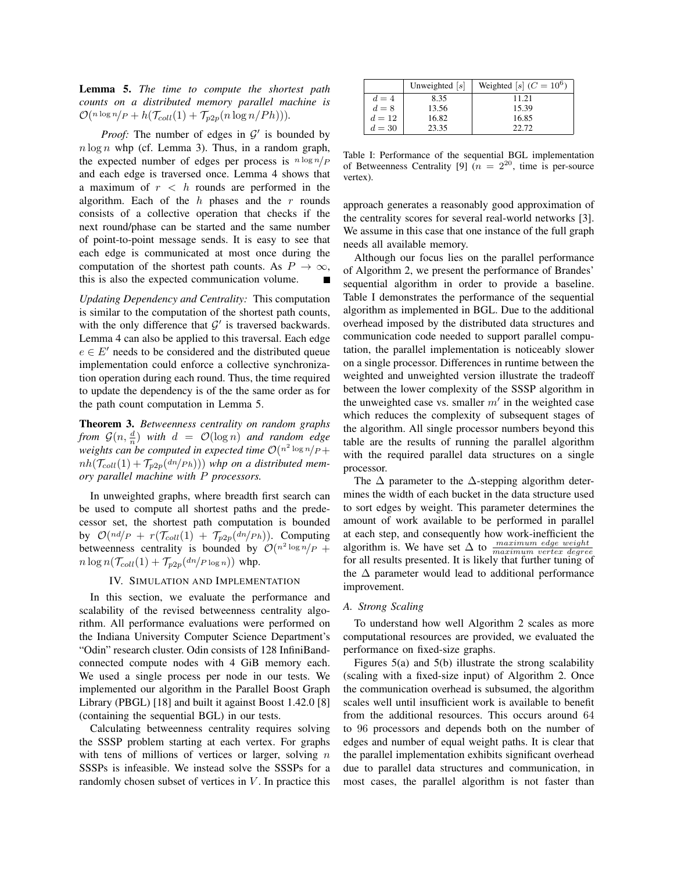Lemma 5. *The time to compute the shortest path counts on a distributed memory parallel machine is*  $\mathcal{O}(n \log n / P + h(\mathcal{T}_{coll}(1) + \mathcal{T}_{p2p}(n \log n / Ph))).$ 

*Proof:* The number of edges in  $\mathcal{G}'$  is bounded by  $n \log n$  whp (cf. Lemma 3). Thus, in a random graph, the expected number of edges per process is  $n \log n / p$ and each edge is traversed once. Lemma 4 shows that a maximum of  $r < h$  rounds are performed in the algorithm. Each of the  $h$  phases and the  $r$  rounds consists of a collective operation that checks if the next round/phase can be started and the same number of point-to-point message sends. It is easy to see that each edge is communicated at most once during the computation of the shortest path counts. As  $P \to \infty$ , this is also the expected communication volume. Г

*Updating Dependency and Centrality:* This computation is similar to the computation of the shortest path counts, with the only difference that  $\mathcal{G}'$  is traversed backwards. Lemma 4 can also be applied to this traversal. Each edge  $e \in E'$  needs to be considered and the distributed queue implementation could enforce a collective synchronization operation during each round. Thus, the time required to update the dependency is of the the same order as for the path count computation in Lemma 5.

Theorem 3. *Betweenness centrality on random graphs from*  $\mathcal{G}(n, \frac{d}{n})$  *with*  $d = \mathcal{O}(\log n)$  *and random edge* weights can be computed in expected time  $\mathcal{O}(n^2 \log n/p + 1)$  $nh(\mathcal{T}_{coll}(1) + \mathcal{T}_{p2p}(dn/Ph)))$  whp on a distributed mem*ory parallel machine with* P *processors.*

In unweighted graphs, where breadth first search can be used to compute all shortest paths and the predecessor set, the shortest path computation is bounded by  $\mathcal{O}(nd/p + r(\mathcal{T}_{coll}(1) + \mathcal{T}_{p2p}(dn/p_h)).$  Computing betweenness centrality is bounded by  $\mathcal{O}(n^2 \log n/p +$  $n \log n(\mathcal{T}_{coll}(1) + \mathcal{T}_{p2p}(dn/p \log n))$  whp.

# IV. SIMULATION AND IMPLEMENTATION

In this section, we evaluate the performance and scalability of the revised betweenness centrality algorithm. All performance evaluations were performed on the Indiana University Computer Science Department's "Odin" research cluster. Odin consists of 128 InfiniBandconnected compute nodes with 4 GiB memory each. We used a single process per node in our tests. We implemented our algorithm in the Parallel Boost Graph Library (PBGL) [18] and built it against Boost 1.42.0 [8] (containing the sequential BGL) in our tests.

Calculating betweenness centrality requires solving the SSSP problem starting at each vertex. For graphs with tens of millions of vertices or larger, solving  $n$ SSSPs is infeasible. We instead solve the SSSPs for a randomly chosen subset of vertices in  $V$ . In practice this

|        | Unweighted $[s]$ | Weighted [s] $(C = 10^6)$ |
|--------|------------------|---------------------------|
| $d=4$  | 8.35             | 11.21                     |
| $d=8$  | 13.56            | 15.39                     |
| $d=12$ | 16.82            | 16.85                     |
| $d=30$ | 23.35            | 22.72                     |

Table I: Performance of the sequential BGL implementation of Betweenness Centrality [9]  $(n = 2^{20})$ , time is per-source vertex).

approach generates a reasonably good approximation of the centrality scores for several real-world networks [3]. We assume in this case that one instance of the full graph needs all available memory.

Although our focus lies on the parallel performance of Algorithm 2, we present the performance of Brandes' sequential algorithm in order to provide a baseline. Table I demonstrates the performance of the sequential algorithm as implemented in BGL. Due to the additional overhead imposed by the distributed data structures and communication code needed to support parallel computation, the parallel implementation is noticeably slower on a single processor. Differences in runtime between the weighted and unweighted version illustrate the tradeoff between the lower complexity of the SSSP algorithm in the unweighted case vs. smaller  $m'$  in the weighted case which reduces the complexity of subsequent stages of the algorithm. All single processor numbers beyond this table are the results of running the parallel algorithm with the required parallel data structures on a single processor.

The  $\Delta$  parameter to the  $\Delta$ -stepping algorithm determines the width of each bucket in the data structure used to sort edges by weight. This parameter determines the amount of work available to be performed in parallel at each step, and consequently how work-inefficient the algorithm is. We have set  $\Delta$  to  $\frac{maximum \ edge \ weight}{maximum \ vertex \ degree}$ for all results presented. It is likely that further tuning of the  $\Delta$  parameter would lead to additional performance improvement.

# *A. Strong Scaling*

To understand how well Algorithm 2 scales as more computational resources are provided, we evaluated the performance on fixed-size graphs.

Figures 5(a) and 5(b) illustrate the strong scalability (scaling with a fixed-size input) of Algorithm 2. Once the communication overhead is subsumed, the algorithm scales well until insufficient work is available to benefit from the additional resources. This occurs around 64 to 96 processors and depends both on the number of edges and number of equal weight paths. It is clear that the parallel implementation exhibits significant overhead due to parallel data structures and communication, in most cases, the parallel algorithm is not faster than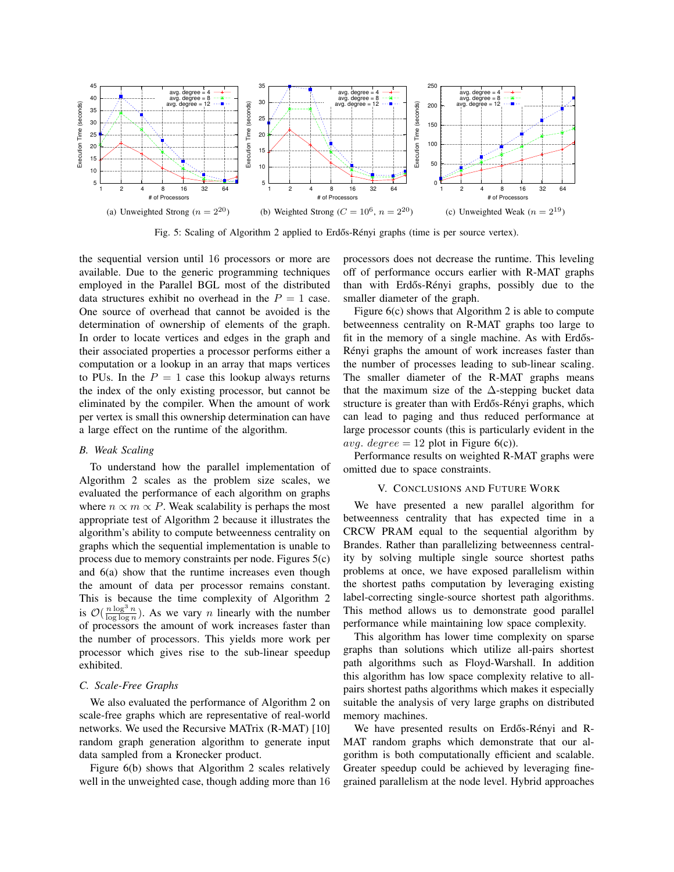

Fig. 5: Scaling of Algorithm 2 applied to Erdős-Rényi graphs (time is per source vertex).

the sequential version until 16 processors or more are available. Due to the generic programming techniques employed in the Parallel BGL most of the distributed data structures exhibit no overhead in the  $P = 1$  case. One source of overhead that cannot be avoided is the determination of ownership of elements of the graph. In order to locate vertices and edges in the graph and their associated properties a processor performs either a computation or a lookup in an array that maps vertices to PUs. In the  $P = 1$  case this lookup always returns the index of the only existing processor, but cannot be eliminated by the compiler. When the amount of work per vertex is small this ownership determination can have a large effect on the runtime of the algorithm.

# *B. Weak Scaling*

To understand how the parallel implementation of Algorithm 2 scales as the problem size scales, we evaluated the performance of each algorithm on graphs where  $n \propto m \propto P$ . Weak scalability is perhaps the most appropriate test of Algorithm 2 because it illustrates the algorithm's ability to compute betweenness centrality on graphs which the sequential implementation is unable to process due to memory constraints per node. Figures 5(c) and 6(a) show that the runtime increases even though the amount of data per processor remains constant. This is because the time complexity of Algorithm 2 is  $\mathcal{O}(\frac{n \log^3 n}{\log \log n})$ . As we vary *n* linearly with the number of processors the amount of work increases faster than the number of processors. This yields more work per processor which gives rise to the sub-linear speedup exhibited.

# *C. Scale-Free Graphs*

We also evaluated the performance of Algorithm 2 on scale-free graphs which are representative of real-world networks. We used the Recursive MATrix (R-MAT) [10] random graph generation algorithm to generate input data sampled from a Kronecker product.

Figure 6(b) shows that Algorithm 2 scales relatively well in the unweighted case, though adding more than 16 processors does not decrease the runtime. This leveling off of performance occurs earlier with R-MAT graphs than with Erdős-Rényi graphs, possibly due to the smaller diameter of the graph.

Figure 6(c) shows that Algorithm 2 is able to compute betweenness centrality on R-MAT graphs too large to fit in the memory of a single machine. As with Erdős-Rényi graphs the amount of work increases faster than the number of processes leading to sub-linear scaling. The smaller diameter of the R-MAT graphs means that the maximum size of the  $\Delta$ -stepping bucket data structure is greater than with Erdős-Rényi graphs, which can lead to paging and thus reduced performance at large processor counts (this is particularly evident in the avg. degree  $= 12$  plot in Figure 6(c)).

Performance results on weighted R-MAT graphs were omitted due to space constraints.

# V. CONCLUSIONS AND FUTURE WORK

We have presented a new parallel algorithm for betweenness centrality that has expected time in a CRCW PRAM equal to the sequential algorithm by Brandes. Rather than parallelizing betweenness centrality by solving multiple single source shortest paths problems at once, we have exposed parallelism within the shortest paths computation by leveraging existing label-correcting single-source shortest path algorithms. This method allows us to demonstrate good parallel performance while maintaining low space complexity.

This algorithm has lower time complexity on sparse graphs than solutions which utilize all-pairs shortest path algorithms such as Floyd-Warshall. In addition this algorithm has low space complexity relative to allpairs shortest paths algorithms which makes it especially suitable the analysis of very large graphs on distributed memory machines.

We have presented results on Erdős-Rényi and R-MAT random graphs which demonstrate that our algorithm is both computationally efficient and scalable. Greater speedup could be achieved by leveraging finegrained parallelism at the node level. Hybrid approaches